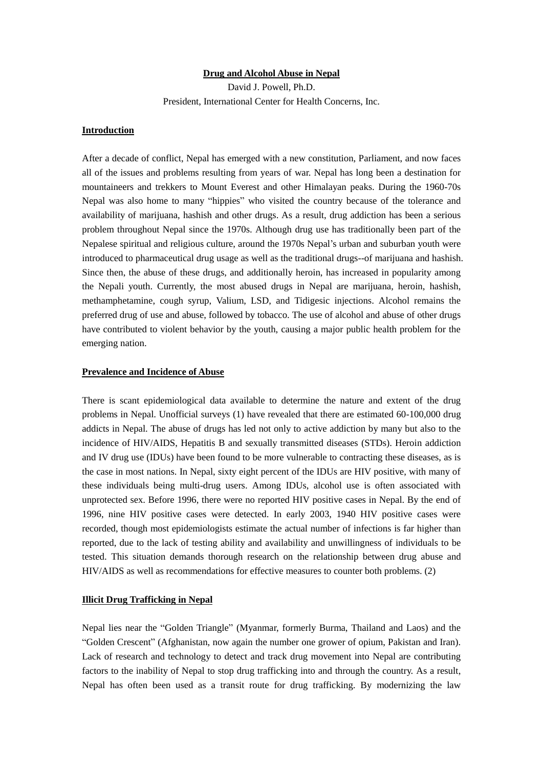### **Drug and Alcohol Abuse in Nepal**

David J. Powell, Ph.D. President, International Center for Health Concerns, Inc.

# **Introduction**

After a decade of conflict, Nepal has emerged with a new constitution, Parliament, and now faces all of the issues and problems resulting from years of war. Nepal has long been a destination for mountaineers and trekkers to Mount Everest and other Himalayan peaks. During the 1960-70s Nepal was also home to many "hippies" who visited the country because of the tolerance and availability of marijuana, hashish and other drugs. As a result, drug addiction has been a serious problem throughout Nepal since the 1970s. Although drug use has traditionally been part of the Nepalese spiritual and religious culture, around the 1970s Nepal's urban and suburban youth were introduced to pharmaceutical drug usage as well as the traditional drugs--of marijuana and hashish. Since then, the abuse of these drugs, and additionally heroin, has increased in popularity among the Nepali youth. Currently, the most abused drugs in Nepal are marijuana, heroin, hashish, methamphetamine, cough syrup, Valium, LSD, and Tidigesic injections. Alcohol remains the preferred drug of use and abuse, followed by tobacco. The use of alcohol and abuse of other drugs have contributed to violent behavior by the youth, causing a major public health problem for the emerging nation.

#### **Prevalence and Incidence of Abuse**

There is scant epidemiological data available to determine the nature and extent of the drug problems in Nepal. Unofficial surveys (1) have revealed that there are estimated 60-100,000 drug addicts in Nepal. The abuse of drugs has led not only to active addiction by many but also to the incidence of HIV/AIDS, Hepatitis B and sexually transmitted diseases (STDs). Heroin addiction and IV drug use (IDUs) have been found to be more vulnerable to contracting these diseases, as is the case in most nations. In Nepal, sixty eight percent of the IDUs are HIV positive, with many of these individuals being multi-drug users. Among IDUs, alcohol use is often associated with unprotected sex. Before 1996, there were no reported HIV positive cases in Nepal. By the end of 1996, nine HIV positive cases were detected. In early 2003, 1940 HIV positive cases were recorded, though most epidemiologists estimate the actual number of infections is far higher than reported, due to the lack of testing ability and availability and unwillingness of individuals to be tested. This situation demands thorough research on the relationship between drug abuse and HIV/AIDS as well as recommendations for effective measures to counter both problems. (2)

## **Illicit Drug Trafficking in Nepal**

Nepal lies near the "Golden Triangle" (Myanmar, formerly Burma, Thailand and Laos) and the "Golden Crescent" (Afghanistan, now again the number one grower of opium, Pakistan and Iran). Lack of research and technology to detect and track drug movement into Nepal are contributing factors to the inability of Nepal to stop drug trafficking into and through the country. As a result, Nepal has often been used as a transit route for drug trafficking. By modernizing the law